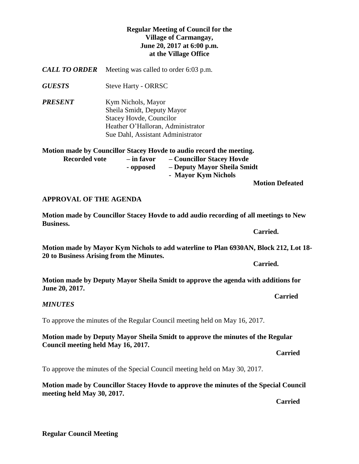## **Regular Meeting of Council for the Village of Carmangay, June 20, 2017 at 6:00 p.m. at the Village Office**

*CALL TO ORDER* Meeting was called to order 6:03 p.m.

*GUESTS* Steve Harty - ORRSC

*PRESENT* Kym Nichols, Mayor Sheila Smidt, Deputy Mayor Stacey Hovde, Councilor Heather O'Halloran, Administrator Sue Dahl, Assistant Administrator

**Motion made by Councillor Stacey Hovde to audio record the meeting.**

| <b>Recorded vote</b> | – in favor | - Councillor Stacey Hovde   |
|----------------------|------------|-----------------------------|
|                      | - opposed  | - Deputy Mayor Sheila Smidt |
|                      |            | - Mayor Kym Nichols         |
|                      |            | <b>Motion Defeated</b>      |

## **APPROVAL OF THE AGENDA**

**Motion made by Councillor Stacey Hovde to add audio recording of all meetings to New Business.**

**Motion made by Mayor Kym Nichols to add waterline to Plan 6930AN, Block 212, Lot 18- 20 to Business Arising from the Minutes.**

**Carried.**

**Motion made by Deputy Mayor Sheila Smidt to approve the agenda with additions for June 20, 2017.**

*MINUTES*

To approve the minutes of the Regular Council meeting held on May 16, 2017.

**Motion made by Deputy Mayor Sheila Smidt to approve the minutes of the Regular Council meeting held May 16, 2017.** 

*Carried* 

To approve the minutes of the Special Council meeting held on May 30, 2017.

**Motion made by Councillor Stacey Hovde to approve the minutes of the Special Council meeting held May 30, 2017.** 

*Carried* 

**Regular Council Meeting**

**Carried.**

**Carried**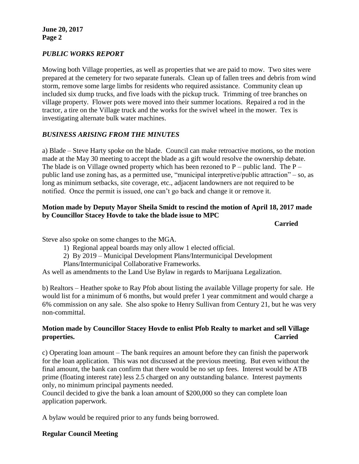## *PUBLIC WORKS REPORT*

Mowing both Village properties, as well as properties that we are paid to mow. Two sites were prepared at the cemetery for two separate funerals. Clean up of fallen trees and debris from wind storm, remove some large limbs for residents who required assistance. Community clean up included six dump trucks, and five loads with the pickup truck. Trimming of tree branches on village property. Flower pots were moved into their summer locations. Repaired a rod in the tractor, a tire on the Village truck and the works for the swivel wheel in the mower. Tex is investigating alternate bulk water machines.

# *BUSINESS ARISING FROM THE MINUTES*

a) Blade – Steve Harty spoke on the blade. Council can make retroactive motions, so the motion made at the May 30 meeting to accept the blade as a gift would resolve the ownership debate. The blade is on Village owned property which has been rezoned to  $P$  – public land. The  $P$  – public land use zoning has, as a permitted use, "municipal interpretive/public attraction" – so, as long as minimum setbacks, site coverage, etc., adjacent landowners are not required to be notified. Once the permit is issued, one can't go back and change it or remove it.

## **Motion made by Deputy Mayor Sheila Smidt to rescind the motion of April 18, 2017 made by Councillor Stacey Hovde to take the blade issue to MPC**

**Carried**

Steve also spoke on some changes to the MGA.

- 1) Regional appeal boards may only allow 1 elected official.
- 2) By 2019 Municipal Development Plans/Intermunicipal Development
- Plans/Intermunicipal Collaborative Frameworks.

As well as amendments to the Land Use Bylaw in regards to Marijuana Legalization.

b) Realtors – Heather spoke to Ray Pfob about listing the available Village property for sale. He would list for a minimum of 6 months, but would prefer 1 year commitment and would charge a 6% commission on any sale. She also spoke to Henry Sullivan from Century 21, but he was very non-committal.

## **Motion made by Councillor Stacey Hovde to enlist Pfob Realty to market and sell Village properties. Carried**

c) Operating loan amount – The bank requires an amount before they can finish the paperwork for the loan application. This was not discussed at the previous meeting. But even without the final amount, the bank can confirm that there would be no set up fees. Interest would be ATB prime (floating interest rate) less 2.5 charged on any outstanding balance. Interest payments only, no minimum principal payments needed.

Council decided to give the bank a loan amount of \$200,000 so they can complete loan application paperwork.

A bylaw would be required prior to any funds being borrowed.

## **Regular Council Meeting**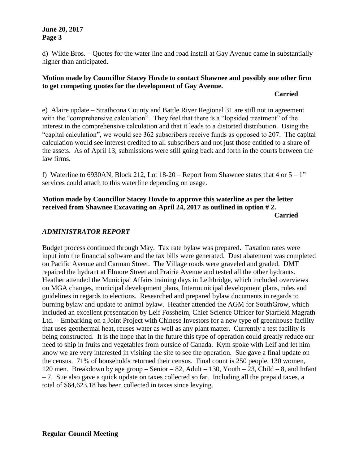#### **June 20, 2017 Page 3**

d) Wilde Bros. – Quotes for the water line and road install at Gay Avenue came in substantially higher than anticipated.

## **Motion made by Councillor Stacey Hovde to contact Shawnee and possibly one other firm to get competing quotes for the development of Gay Avenue.**

#### **Carried**

e) Alaire update – Strathcona County and Battle River Regional 31 are still not in agreement with the "comprehensive calculation". They feel that there is a "lopsided treatment" of the interest in the comprehensive calculation and that it leads to a distorted distribution. Using the "capital calculation", we would see 362 subscribers receive funds as opposed to 207. The capital calculation would see interest credited to all subscribers and not just those entitled to a share of the assets. As of April 13, submissions were still going back and forth in the courts between the law firms.

f) Waterline to 6930AN, Block 212, Lot 18-20 – Report from Shawnee states that 4 or  $5 - 1$ " services could attach to this waterline depending on usage.

#### **Motion made by Councillor Stacey Hovde to approve this waterline as per the letter received from Shawnee Excavating on April 24, 2017 as outlined in option # 2. Carried**

## *ADMINISTRATOR REPORT*

Budget process continued through May. Tax rate bylaw was prepared. Taxation rates were input into the financial software and the tax bills were generated. Dust abatement was completed on Pacific Avenue and Carman Street. The Village roads were graveled and graded. DMT repaired the hydrant at Elmore Street and Prairie Avenue and tested all the other hydrants. Heather attended the Municipal Affairs training days in Lethbridge, which included overviews on MGA changes, municipal development plans, Intermunicipal development plans, rules and guidelines in regards to elections. Researched and prepared bylaw documents in regards to burning bylaw and update to animal bylaw. Heather attended the AGM for SouthGrow, which included an excellent presentation by Leif Fossheim, Chief Science Officer for Starfield Magrath Ltd. – Embarking on a Joint Project with Chinese Investors for a new type of greenhouse facility that uses geothermal heat, reuses water as well as any plant matter. Currently a test facility is being constructed. It is the hope that in the future this type of operation could greatly reduce our need to ship in fruits and vegetables from outside of Canada. Kym spoke with Leif and let him know we are very interested in visiting the site to see the operation. Sue gave a final update on the census. 71% of households returned their census. Final count is 250 people, 130 women, 120 men. Breakdown by age group – Senior – 82, Adult – 130, Youth – 23, Child – 8, and Infant  $-7$ . Sue also gave a quick update on taxes collected so far. Including all the prepaid taxes, a total of \$64,623.18 has been collected in taxes since levying.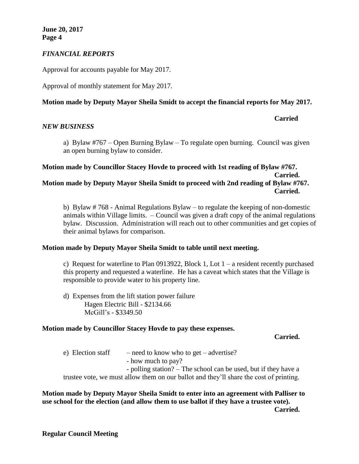## *FINANCIAL REPORTS*

Approval for accounts payable for May 2017.

Approval of monthly statement for May 2017.

## **Motion made by Deputy Mayor Sheila Smidt to accept the financial reports for May 2017.**

#### *NEW BUSINESS*

**Carried**

a) Bylaw #767 – Open Burning Bylaw – To regulate open burning. Council was given an open burning bylaw to consider.

## **Motion made by Councillor Stacey Hovde to proceed with 1st reading of Bylaw #767. Carried. Motion made by Deputy Mayor Sheila Smidt to proceed with 2nd reading of Bylaw #767. Carried.**

b) Bylaw # 768 - Animal Regulations Bylaw – to regulate the keeping of non-domestic animals within Village limits. – Council was given a draft copy of the animal regulations bylaw. Discussion. Administration will reach out to other communities and get copies of their animal bylaws for comparison.

#### **Motion made by Deputy Mayor Sheila Smidt to table until next meeting.**

c) Request for waterline to Plan 0913922, Block 1, Lot  $1 - a$  resident recently purchased this property and requested a waterline. He has a caveat which states that the Village is responsible to provide water to his property line.

d) Expenses from the lift station power failure Hagen Electric Bill - \$2134.66 McGill's - \$3349.50

## **Motion made by Councillor Stacey Hovde to pay these expenses.**

#### **Carried.**

e) Election staff  $-$  need to know who to get – advertise? - how much to pay? - polling station? – The school can be used, but if they have a trustee vote, we must allow them on our ballot and they'll share the cost of printing.

## **Motion made by Deputy Mayor Sheila Smidt to enter into an agreement with Palliser to use school for the election (and allow them to use ballot if they have a trustee vote). Carried.**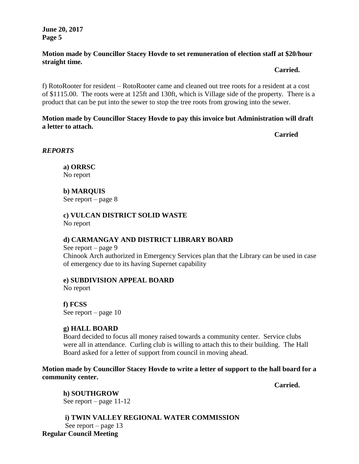**June 20, 2017 Page 5**

## **Motion made by Councillor Stacey Hovde to set remuneration of election staff at \$20/hour straight time.**

**Carried.**

f) RotoRooter for resident – RotoRooter came and cleaned out tree roots for a resident at a cost of \$1115.00. The roots were at 125ft and 130ft, which is Village side of the property. There is a product that can be put into the sewer to stop the tree roots from growing into the sewer.

## **Motion made by Councillor Stacey Hovde to pay this invoice but Administration will draft a letter to attach.**

**Carried** 

*REPORTS*

**a) ORRSC** No report

**b) MARQUIS**  See report – page 8

**c) VULCAN DISTRICT SOLID WASTE**  No report

## **d) CARMANGAY AND DISTRICT LIBRARY BOARD**

See report – page 9 Chinook Arch authorized in Emergency Services plan that the Library can be used in case of emergency due to its having Supernet capability

# **e) SUBDIVISION APPEAL BOARD**

No report

**f) FCSS**  See report – page 10

# **g) HALL BOARD**

Board decided to focus all money raised towards a community center. Service clubs were all in attendance. Curling club is willing to attach this to their building. The Hall Board asked for a letter of support from council in moving ahead.

**Motion made by Councillor Stacey Hovde to write a letter of support to the hall board for a community center.**

**Carried.**

**h) SOUTHGROW** See report – page 11-12

**i) TWIN VALLEY REGIONAL WATER COMMISSION** See report – page 13 **Regular Council Meeting**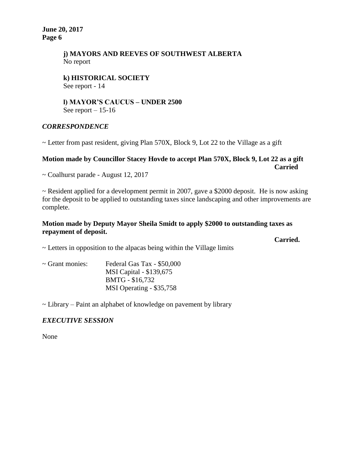**June 20, 2017 Page 6**

## **j) MAYORS AND REEVES OF SOUTHWEST ALBERTA** No report

#### **k) HISTORICAL SOCIETY** See report - 14

#### **l) MAYOR'S CAUCUS – UNDER 2500** See report  $-15-16$

## *CORRESPONDENCE*

~ Letter from past resident, giving Plan 570X, Block 9, Lot 22 to the Village as a gift

#### **Motion made by Councillor Stacey Hovde to accept Plan 570X, Block 9, Lot 22 as a gift Carried**

~ Coalhurst parade - August 12, 2017

 $\sim$  Resident applied for a development permit in 2007, gave a \$2000 deposit. He is now asking for the deposit to be applied to outstanding taxes since landscaping and other improvements are complete.

## **Motion made by Deputy Mayor Sheila Smidt to apply \$2000 to outstanding taxes as repayment of deposit.**

**Carried.**

 $\sim$  Letters in opposition to the alpacas being within the Village limits

| $\sim$ Grant monies: | Federal Gas Tax - \$50,000 |
|----------------------|----------------------------|
|                      | MSI Capital - \$139,675    |
|                      | BMTG - \$16,732            |
|                      | MSI Operating - \$35,758   |

 $\sim$  Library – Paint an alphabet of knowledge on pavement by library

## *EXECUTIVE SESSION*

None